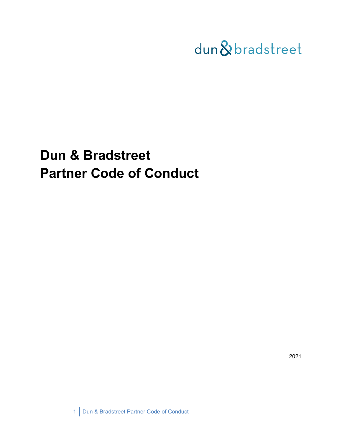

# **Dun & Bradstreet Partner Code of Conduct**

2021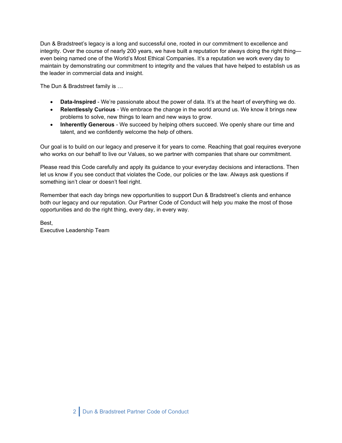Dun & Bradstreet's legacy is a long and successful one, rooted in our commitment to excellence and integrity. Over the course of nearly 200 years, we have built a reputation for always doing the right thing even being named one of the World's Most Ethical Companies. It's a reputation we work every day to maintain by demonstrating our commitment to integrity and the values that have helped to establish us as the leader in commercial data and insight.

The Dun & Bradstreet family is …

- **Data-Inspired** We're passionate about the power of data. It's at the heart of everything we do.
- **Relentlessly Curious** We embrace the change in the world around us. We know it brings new problems to solve, new things to learn and new ways to grow.
- **Inherently Generous** We succeed by helping others succeed. We openly share our time and talent, and we confidently welcome the help of others.

Our goal is to build on our legacy and preserve it for years to come. Reaching that goal requires everyone who works on our behalf to live our Values, so we partner with companies that share our commitment.

Please read this Code carefully and apply its guidance to your everyday decisions and interactions. Then let us know if you see conduct that violates the Code, our policies or the law. Always ask questions if something isn't clear or doesn't feel right.

Remember that each day brings new opportunities to support Dun & Bradstreet's clients and enhance both our legacy and our reputation. Our Partner Code of Conduct will help you make the most of those opportunities and do the right thing, every day, in every way.

Best, Executive Leadership Team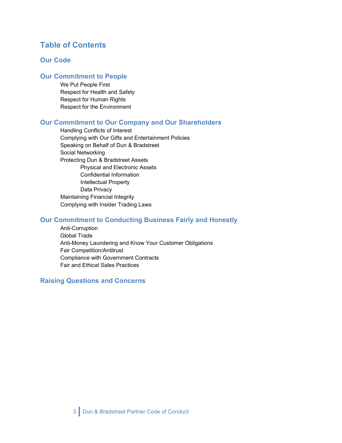# **Table of Contents**

## **Our Code**

## **Our Commitment to People**

We Put People First Respect for Health and Safety Respect for Human Rights Respect for the Environment

## **Our Commitment to Our Company and Our Shareholders**

Handling Conflicts of Interest Complying with Our Gifts and Entertainment Policies Speaking on Behalf of Dun & Bradstreet Social Networking Protecting Dun & Bradstreet Assets Physical and Electronic Assets Confidential Information Intellectual Property Data Privacy Maintaining Financial Integrity Complying with Insider Trading Laws

## **Our Commitment to Conducting Business Fairly and Honestly**

Anti-Corruption Global Trade Anti-Money Laundering and Know Your Customer Obligations Fair Competition/Antitrust Compliance with Government Contracts Fair and Ethical Sales Practices

## **Raising Questions and Concerns**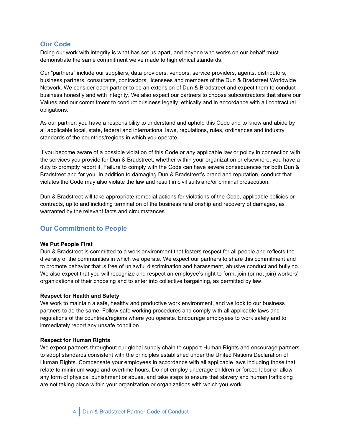## **Our Code**

Doing our work with integrity is what has set us apart, and anyone who works on our behalf must demonstrate the same commitment we've made to high ethical standards.

Our "partners" include our suppliers, data providers, vendors, service providers, agents, distributors, business partners, consultants, contractors, licensees and members of the Dun & Bradstreet Worldwide Network. We consider each partner to be an extension of Dun & Bradstreet and expect them to conduct business honestly and with integrity. We also expect our partners to choose subcontractors that share our Values and our commitment to conduct business legally, ethically and in accordance with all contractual obligations.

As our partner, you have a responsibility to understand and uphold this Code and to know and abide by all applicable local, state, federal and international laws, regulations, rules, ordinances and industry standards of the countries/regions in which you operate.

If you become aware of a possible violation of this Code or any applicable law or policy in connection with the services you provide for Dun & Bradstreet, whether within your organization or elsewhere, you have a duty to promptly report it. Failure to comply with the Code can have severe consequences for both Dun & Bradstreet and for you. In addition to damaging Dun & Bradstreet's brand and reputation, conduct that violates the Code may also violate the law and result in civil suits and/or criminal prosecution.

Dun & Bradstreet will take appropriate remedial actions for violations of the Code, applicable policies or contracts, up to and including termination of the business relationship and recovery of damages, as warranted by the relevant facts and circumstances.

## **Our Commitment to People**

#### **We Put People First**

Dun & Bradstreet is committed to a work environment that fosters respect for all people and reflects the diversity of the communities in which we operate. We expect our partners to share this commitment and to promote behavior that is free of unlawful discrimination and harassment, abusive conduct and bullying. We also expect that you will recognize and respect an employee's right to form, join (or not join) workers' organizations of their choosing and to enter into collective bargaining, as permitted by law.

#### **Respect for Health and Safety**

We work to maintain a safe, healthy and productive work environment, and we look to our business partners to do the same. Follow safe working procedures and comply with all applicable laws and regulations of the countries/regions where you operate. Encourage employees to work safely and to immediately report any unsafe condition.

#### **Respect for Human Rights**

We expect partners throughout our global supply chain to support Human Rights and encourage partners to adopt standards consistent with the principles established under the United Nations Declaration of Human Rights. Compensate your employees in accordance with all applicable laws including those that relate to minimum wage and overtime hours. Do not employ underage children or forced labor or allow any form of physical punishment or abuse, and take steps to ensure that slavery and human trafficking are not taking place within your organization or organizations with which you work.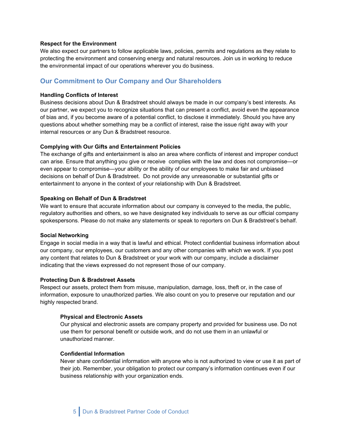#### **Respect for the Environment**

We also expect our partners to follow applicable laws, policies, permits and regulations as they relate to protecting the environment and conserving energy and natural resources. Join us in working to reduce the environmental impact of our operations wherever you do business.

## **Our Commitment to Our Company and Our Shareholders**

#### **Handling Conflicts of Interest**

Business decisions about Dun & Bradstreet should always be made in our company's best interests. As our partner, we expect you to recognize situations that can present a conflict, avoid even the appearance of bias and, if you become aware of a potential conflict, to disclose it immediately. Should you have any questions about whether something may be a conflict of interest, raise the issue right away with your internal resources or any Dun & Bradstreet resource.

#### **Complying with Our Gifts and Entertainment Policies**

The exchange of gifts and entertainment is also an area where conflicts of interest and improper conduct can arise. Ensure that anything you give or receive complies with the law and does not compromise—or even appear to compromise—your ability or the ability of our employees to make fair and unbiased decisions on behalf of Dun & Bradstreet. Do not provide any unreasonable or substantial gifts or entertainment to anyone in the context of your relationship with Dun & Bradstreet.

#### **Speaking on Behalf of Dun & Bradstreet**

We want to ensure that accurate information about our company is conveyed to the media, the public, regulatory authorities and others, so we have designated key individuals to serve as our official company spokespersons. Please do not make any statements or speak to reporters on Dun & Bradstreet's behalf.

#### **Social Networking**

Engage in social media in a way that is lawful and ethical. Protect confidential business information about our company, our employees, our customers and any other companies with which we work. If you post any content that relates to Dun & Bradstreet or your work with our company, include a disclaimer indicating that the views expressed do not represent those of our company.

#### **Protecting Dun & Bradstreet Assets**

Respect our assets, protect them from misuse, manipulation, damage, loss, theft or, in the case of information, exposure to unauthorized parties. We also count on you to preserve our reputation and our highly respected brand.

#### **Physical and Electronic Assets**

Our physical and electronic assets are company property and provided for business use. Do not use them for personal benefit or outside work, and do not use them in an unlawful or unauthorized manner.

## **Confidential Information**

Never share confidential information with anyone who is not authorized to view or use it as part of their job. Remember, your obligation to protect our company's information continues even if our business relationship with your organization ends.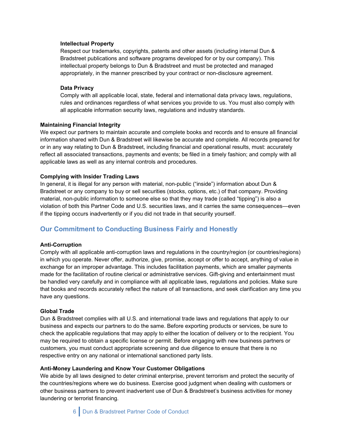#### **Intellectual Property**

Respect our trademarks, copyrights, patents and other assets (including internal Dun & Bradstreet publications and software programs developed for or by our company). This intellectual property belongs to Dun & Bradstreet and must be protected and managed appropriately, in the manner prescribed by your contract or non-disclosure agreement.

#### **Data Privacy**

Comply with all applicable local, state, federal and international data privacy laws, regulations, rules and ordinances regardless of what services you provide to us. You must also comply with all applicable information security laws, regulations and industry standards.

#### **Maintaining Financial Integrity**

We expect our partners to maintain accurate and complete books and records and to ensure all financial information shared with Dun & Bradstreet will likewise be accurate and complete. All records prepared for or in any way relating to Dun & Bradstreet, including financial and operational results, must: accurately reflect all associated transactions, payments and events; be filed in a timely fashion; and comply with all applicable laws as well as any internal controls and procedures.

#### **Complying with Insider Trading Laws**

In general, it is illegal for any person with material, non-public ("inside") information about Dun & Bradstreet or any company to buy or sell securities (stocks, options, etc.) of that company. Providing material, non-public information to someone else so that they may trade (called "tipping") is also a violation of both this Partner Code and U.S. securities laws, and it carries the same consequences—even if the tipping occurs inadvertently or if you did not trade in that security yourself.

## **Our Commitment to Conducting Business Fairly and Honestly**

#### **Anti-Corruption**

Comply with all applicable anti-corruption laws and regulations in the country/region (or countries/regions) in which you operate. Never offer, authorize, give, promise, accept or offer to accept, anything of value in exchange for an improper advantage. This includes facilitation payments, which are smaller payments made for the facilitation of routine clerical or administrative services. Gift-giving and entertainment must be handled very carefully and in compliance with all applicable laws, regulations and policies. Make sure that books and records accurately reflect the nature of all transactions, and seek clarification any time you have any questions.

#### **Global Trade**

Dun & Bradstreet complies with all U.S. and international trade laws and regulations that apply to our business and expects our partners to do the same. Before exporting products or services, be sure to check the applicable regulations that may apply to either the location of delivery or to the recipient. You may be required to obtain a specific license or permit. Before engaging with new business partners or customers, you must conduct appropriate screening and due diligence to ensure that there is no respective entry on any national or international sanctioned party lists.

#### **Anti-Money Laundering and Know Your Customer Obligations**

We abide by all laws designed to deter criminal enterprise, prevent terrorism and protect the security of the countries/regions where we do business. Exercise good judgment when dealing with customers or other business partners to prevent inadvertent use of Dun & Bradstreet's business activities for money laundering or terrorist financing.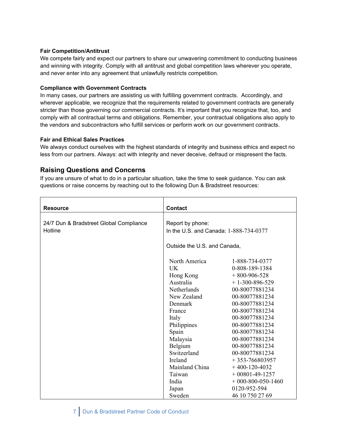## **Fair Competition/Antitrust**

We compete fairly and expect our partners to share our unwavering commitment to conducting business and winning with integrity. Comply with all antitrust and global competition laws wherever you operate, and never enter into any agreement that unlawfully restricts competition.

## **Compliance with Government Contracts**

In many cases, our partners are assisting us with fulfilling government contracts. Accordingly, and wherever applicable, we recognize that the requirements related to government contracts are generally stricter than those governing our commercial contracts. It's important that you recognize that, too, and comply with all contractual terms and obligations. Remember, your contractual obligations also apply to the vendors and subcontractors who fulfill services or perform work on our government contracts.

## **Fair and Ethical Sales Practices**

We always conduct ourselves with the highest standards of integrity and business ethics and expect no less from our partners. Always: act with integrity and never deceive, defraud or mispresent the facts.

# **Raising Questions and Concerns**

If you are unsure of what to do in a particular situation, take the time to seek guidance. You can ask questions or raise concerns by reaching out to the following Dun & Bradstreet resources:

| <b>Resource</b>                         | <b>Contact</b>                                             |                      |
|-----------------------------------------|------------------------------------------------------------|----------------------|
|                                         |                                                            |                      |
| 24/7 Dun & Bradstreet Global Compliance | Report by phone:<br>In the U.S. and Canada: 1-888-734-0377 |                      |
| Hotline                                 |                                                            |                      |
|                                         |                                                            |                      |
|                                         | Outside the U.S. and Canada,                               |                      |
|                                         | North America                                              | 1-888-734-0377       |
|                                         | <b>UK</b>                                                  | 0-808-189-1384       |
|                                         | Hong Kong                                                  | $+800-906-528$       |
|                                         | Australia                                                  | $+1-300-896-529$     |
|                                         | Netherlands                                                | 00-80077881234       |
|                                         | New Zealand                                                | 00-80077881234       |
|                                         | Denmark                                                    | 00-80077881234       |
|                                         | France                                                     | 00-80077881234       |
|                                         | Italy                                                      | 00-80077881234       |
|                                         | Philippines                                                | 00-80077881234       |
|                                         | Spain                                                      | 00-80077881234       |
|                                         | Malaysia                                                   | 00-80077881234       |
|                                         | Belgium                                                    | 00-80077881234       |
|                                         | Switzerland                                                | 00-80077881234       |
|                                         | Ireland                                                    | $+353-766803957$     |
|                                         | Mainland China                                             | $+400-120-4032$      |
|                                         | Taiwan                                                     | $+00801 - 49 - 1257$ |
|                                         | India                                                      | $+000-800-050-1460$  |
|                                         | Japan                                                      | 0120-952-594         |
|                                         | Sweden                                                     | 46 10 750 27 69      |